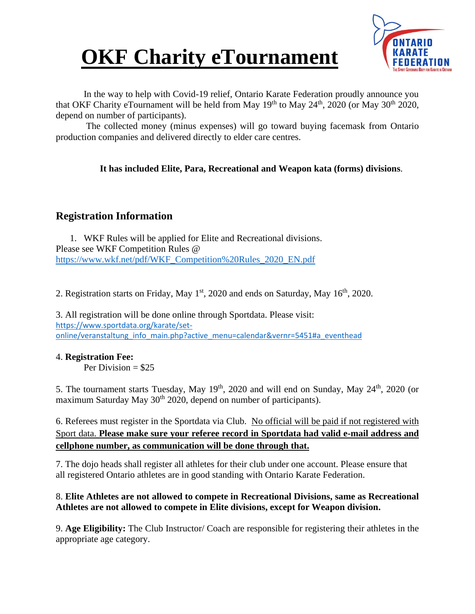



In the way to help with Covid-19 relief, Ontario Karate Federation proudly announce you that OKF Charity eTournament will be held from May  $19<sup>th</sup>$  to May  $24<sup>th</sup>$ , 2020 (or May  $30<sup>th</sup>$  2020, depend on number of participants).

The collected money (minus expenses) will go toward buying facemask from Ontario production companies and delivered directly to elder care centres.

#### **It has included Elite, Para, Recreational and Weapon kata (forms) divisions**.

#### **Registration Information**

1. WKF Rules will be applied for Elite and Recreational divisions. Please see WKF Competition Rules @ [https://www.wkf.net/pdf/WKF\\_Competition%20Rules\\_2020\\_EN.pdf](https://www.wkf.net/pdf/WKF_Competition%20Rules_2020_EN.pdf)

2. Registration starts on Friday, May  $1<sup>st</sup>$ , 2020 and ends on Saturday, May  $16<sup>th</sup>$ , 2020.

3. All registration will be done online through Sportdata. Please visit: [https://www.sportdata.org/karate/set](https://www.sportdata.org/karate/set-online/veranstaltung_info_main.php?active_menu=calendar&vernr=5451#a_eventhead)[online/veranstaltung\\_info\\_main.php?active\\_menu=calendar&vernr=5451#a\\_eventhead](https://www.sportdata.org/karate/set-online/veranstaltung_info_main.php?active_menu=calendar&vernr=5451#a_eventhead)

#### 4. **Registration Fee:**

Per Division  $= $25$ 

5. The tournament starts Tuesday, May  $19<sup>th</sup>$ , 2020 and will end on Sunday, May  $24<sup>th</sup>$ , 2020 (or maximum Saturday May  $30<sup>th</sup> 2020$ , depend on number of participants).

6. Referees must register in the Sportdata via Club. No official will be paid if not registered with Sport data. **Please make sure your referee record in Sportdata had valid e-mail address and cellphone number, as communication will be done through that.**

7. The dojo heads shall register all athletes for their club under one account. Please ensure that all registered Ontario athletes are in good standing with Ontario Karate Federation.

#### 8. **Elite Athletes are not allowed to compete in Recreational Divisions, same as Recreational Athletes are not allowed to compete in Elite divisions, except for Weapon division.**

9. **Age Eligibility:** The Club Instructor/ Coach are responsible for registering their athletes in the appropriate age category.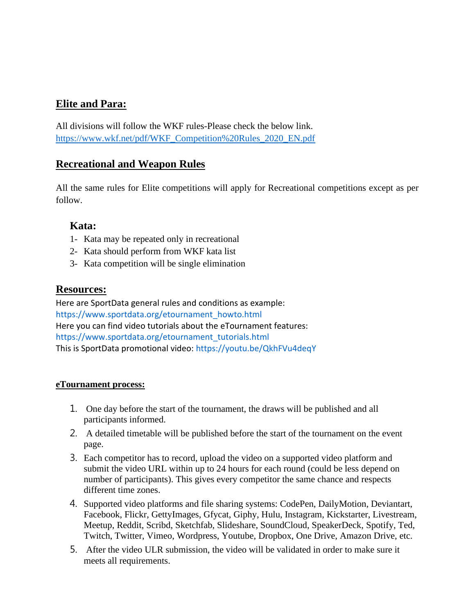### **Elite and Para:**

All divisions will follow the WKF rules-Please check the below link. [https://www.wkf.net/pdf/WKF\\_Competition%20Rules\\_2020\\_EN.pdf](https://www.wkf.net/pdf/WKF_Competition%20Rules_2020_EN.pdf)

#### **Recreational and Weapon Rules**

All the same rules for Elite competitions will apply for Recreational competitions except as per follow.

#### **Kata:**

- 1- Kata may be repeated only in recreational
- 2- Kata should perform from WKF kata list
- 3- Kata competition will be single elimination

#### **Resources:**

Here are SportData general rules and conditions as example: https://www.sportdata.org/etournament\_howto.html Here you can find video tutorials about the eTournament features: https://www.sportdata.org/etournament\_tutorials.html This is SportData promotional video: https://youtu.be/QkhFVu4deqY

#### **eTournament process:**

- 1. One day before the start of the tournament, the draws will be published and all participants informed.
- 2. A detailed timetable will be published before the start of the tournament on the event page.
- 3. Each competitor has to record, upload the video on a supported video platform and submit the video URL within up to 24 hours for each round (could be less depend on number of participants). This gives every competitor the same chance and respects different time zones.
- 4. Supported video platforms and file sharing systems: CodePen, DailyMotion, Deviantart, Facebook, Flickr, GettyImages, Gfycat, Giphy, Hulu, Instagram, Kickstarter, Livestream, Meetup, Reddit, Scribd, Sketchfab, Slideshare, SoundCloud, SpeakerDeck, Spotify, Ted, Twitch, Twitter, Vimeo, Wordpress, Youtube, Dropbox, One Drive, Amazon Drive, etc.
- 5. After the video ULR submission, the video will be validated in order to make sure it meets all requirements.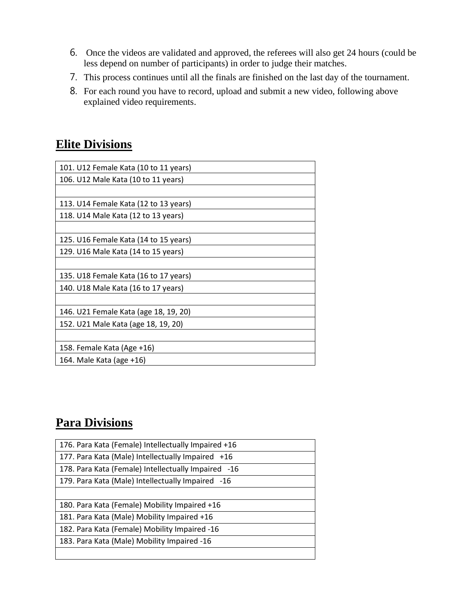- 6. Once the videos are validated and approved, the referees will also get 24 hours (could be less depend on number of participants) in order to judge their matches.
- 7. This process continues until all the finals are finished on the last day of the tournament.
- 8. For each round you have to record, upload and submit a new video, following above explained video requirements.

## **Elite Divisions**

| 101. U12 Female Kata (10 to 11 years) |
|---------------------------------------|
| 106. U12 Male Kata (10 to 11 years)   |
|                                       |
| 113. U14 Female Kata (12 to 13 years) |
| 118. U14 Male Kata (12 to 13 years)   |
|                                       |
| 125. U16 Female Kata (14 to 15 years) |
| 129. U16 Male Kata (14 to 15 years)   |
|                                       |
| 135. U18 Female Kata (16 to 17 years) |
| 140. U18 Male Kata (16 to 17 years)   |
|                                       |
| 146. U21 Female Kata (age 18, 19, 20) |
| 152. U21 Male Kata (age 18, 19, 20)   |
|                                       |
| 158. Female Kata (Age +16)            |
| 164. Male Kata (age +16)              |

## **Para Divisions**

| 176. Para Kata (Female) Intellectually Impaired +16 |
|-----------------------------------------------------|
| 177. Para Kata (Male) Intellectually Impaired +16   |
| 178. Para Kata (Female) Intellectually Impaired -16 |
| 179. Para Kata (Male) Intellectually Impaired -16   |
|                                                     |
| 180. Para Kata (Female) Mobility Impaired +16       |
| 181. Para Kata (Male) Mobility Impaired +16         |
| 182. Para Kata (Female) Mobility Impaired -16       |
| 183. Para Kata (Male) Mobility Impaired -16         |
|                                                     |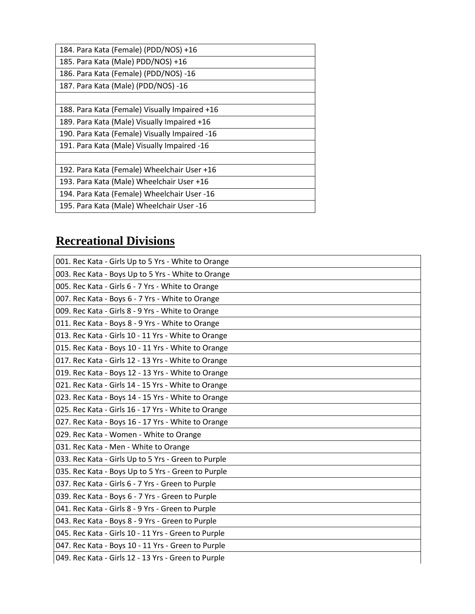| 184. Para Kata (Female) (PDD/NOS) +16         |
|-----------------------------------------------|
| 185. Para Kata (Male) PDD/NOS) +16            |
| 186. Para Kata (Female) (PDD/NOS) -16         |
| 187. Para Kata (Male) (PDD/NOS) -16           |
|                                               |
| 188. Para Kata (Female) Visually Impaired +16 |
| 189. Para Kata (Male) Visually Impaired +16   |
| 190. Para Kata (Female) Visually Impaired -16 |
| 191. Para Kata (Male) Visually Impaired -16   |
|                                               |
| 192. Para Kata (Female) Wheelchair User +16   |
| 193. Para Kata (Male) Wheelchair User +16     |
| 194. Para Kata (Female) Wheelchair User -16   |
| 195. Para Kata (Male) Wheelchair User -16     |

## **Recreational Divisions**

| 001. Rec Kata - Girls Up to 5 Yrs - White to Orange |
|-----------------------------------------------------|
| 003. Rec Kata - Boys Up to 5 Yrs - White to Orange  |
| 005. Rec Kata - Girls 6 - 7 Yrs - White to Orange   |
| 007. Rec Kata - Boys 6 - 7 Yrs - White to Orange    |
| 009. Rec Kata - Girls 8 - 9 Yrs - White to Orange   |
| 011. Rec Kata - Boys 8 - 9 Yrs - White to Orange    |
| 013. Rec Kata - Girls 10 - 11 Yrs - White to Orange |
| 015. Rec Kata - Boys 10 - 11 Yrs - White to Orange  |
| 017. Rec Kata - Girls 12 - 13 Yrs - White to Orange |
| 019. Rec Kata - Boys 12 - 13 Yrs - White to Orange  |
| 021. Rec Kata - Girls 14 - 15 Yrs - White to Orange |
| 023. Rec Kata - Boys 14 - 15 Yrs - White to Orange  |
| 025. Rec Kata - Girls 16 - 17 Yrs - White to Orange |
| 027. Rec Kata - Boys 16 - 17 Yrs - White to Orange  |
| 029. Rec Kata - Women - White to Orange             |
| 031. Rec Kata - Men - White to Orange               |
| 033. Rec Kata - Girls Up to 5 Yrs - Green to Purple |
| 035. Rec Kata - Boys Up to 5 Yrs - Green to Purple  |
| 037. Rec Kata - Girls 6 - 7 Yrs - Green to Purple   |
| 039. Rec Kata - Boys 6 - 7 Yrs - Green to Purple    |
| 041. Rec Kata - Girls 8 - 9 Yrs - Green to Purple   |
| 043. Rec Kata - Boys 8 - 9 Yrs - Green to Purple    |
| 045. Rec Kata - Girls 10 - 11 Yrs - Green to Purple |
| 047. Rec Kata - Boys 10 - 11 Yrs - Green to Purple  |
| 049. Rec Kata - Girls 12 - 13 Yrs - Green to Purple |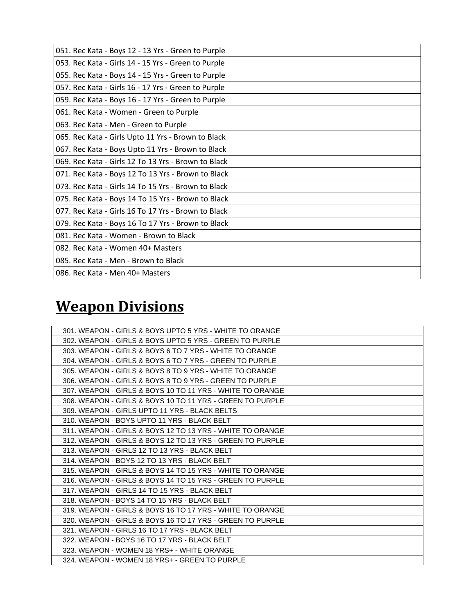| 051. Rec Kata - Boys 12 - 13 Yrs - Green to Purple  |
|-----------------------------------------------------|
| 053. Rec Kata - Girls 14 - 15 Yrs - Green to Purple |
| 055. Rec Kata - Boys 14 - 15 Yrs - Green to Purple  |
| 057. Rec Kata - Girls 16 - 17 Yrs - Green to Purple |
| 059. Rec Kata - Boys 16 - 17 Yrs - Green to Purple  |
| 061. Rec Kata - Women - Green to Purple             |
| 063. Rec Kata - Men - Green to Purple               |
| 065. Rec Kata - Girls Upto 11 Yrs - Brown to Black  |
| 067. Rec Kata - Boys Upto 11 Yrs - Brown to Black   |
| 069. Rec Kata - Girls 12 To 13 Yrs - Brown to Black |
| 071. Rec Kata - Boys 12 To 13 Yrs - Brown to Black  |
| 073. Rec Kata - Girls 14 To 15 Yrs - Brown to Black |
| 075. Rec Kata - Boys 14 To 15 Yrs - Brown to Black  |
| 077. Rec Kata - Girls 16 To 17 Yrs - Brown to Black |
| 079. Rec Kata - Boys 16 To 17 Yrs - Brown to Black  |
| 081. Rec Kata - Women - Brown to Black              |
| 082. Rec Kata - Women 40+ Masters                   |
| 085. Rec Kata - Men - Brown to Black                |
| 086. Rec Kata - Men 40+ Masters                     |

# **Weapon Divisions**

| 301. WEAPON - GIRLS & BOYS UPTO 5 YRS - WHITE TO ORANGE   |
|-----------------------------------------------------------|
| 302. WEAPON - GIRLS & BOYS UPTO 5 YRS - GREEN TO PURPLE   |
| 303. WEAPON - GIRLS & BOYS 6 TO 7 YRS - WHITE TO ORANGE   |
| 304. WEAPON - GIRLS & BOYS 6 TO 7 YRS - GREEN TO PURPLE   |
| 305. WEAPON - GIRLS & BOYS 8 TO 9 YRS - WHITE TO ORANGE   |
| 306. WEAPON - GIRLS & BOYS 8 TO 9 YRS - GREEN TO PURPLE   |
| 307. WEAPON - GIRLS & BOYS 10 TO 11 YRS - WHITE TO ORANGE |
| 308. WEAPON - GIRLS & BOYS 10 TO 11 YRS - GREEN TO PURPLE |
| 309. WEAPON - GIRLS UPTO 11 YRS - BLACK BELTS             |
| 310. WEAPON - BOYS UPTO 11 YRS - BLACK BELT               |
| 311. WEAPON - GIRLS & BOYS 12 TO 13 YRS - WHITE TO ORANGE |
| 312. WEAPON - GIRLS & BOYS 12 TO 13 YRS - GREEN TO PURPLE |
|                                                           |
| 313. WEAPON - GIRLS 12 TO 13 YRS - BLACK BELT             |
| 314. WEAPON - BOYS 12 TO 13 YRS - BLACK BELT              |
| 315. WEAPON - GIRLS & BOYS 14 TO 15 YRS - WHITE TO ORANGE |
| 316. WEAPON - GIRLS & BOYS 14 TO 15 YRS - GREEN TO PURPLE |
| 317. WEAPON - GIRLS 14 TO 15 YRS - BLACK BELT             |
| 318. WEAPON - BOYS 14 TO 15 YRS - BLACK BELT              |
| 319. WEAPON - GIRLS & BOYS 16 TO 17 YRS - WHITE TO ORANGE |
| 320. WEAPON - GIRLS & BOYS 16 TO 17 YRS - GREEN TO PURPLE |
| 321. WEAPON - GIRLS 16 TO 17 YRS - BLACK BELT             |
| 322. WEAPON - BOYS 16 TO 17 YRS - BLACK BELT              |
| 323. WEAPON - WOMEN 18 YRS+ - WHITE ORANGE                |